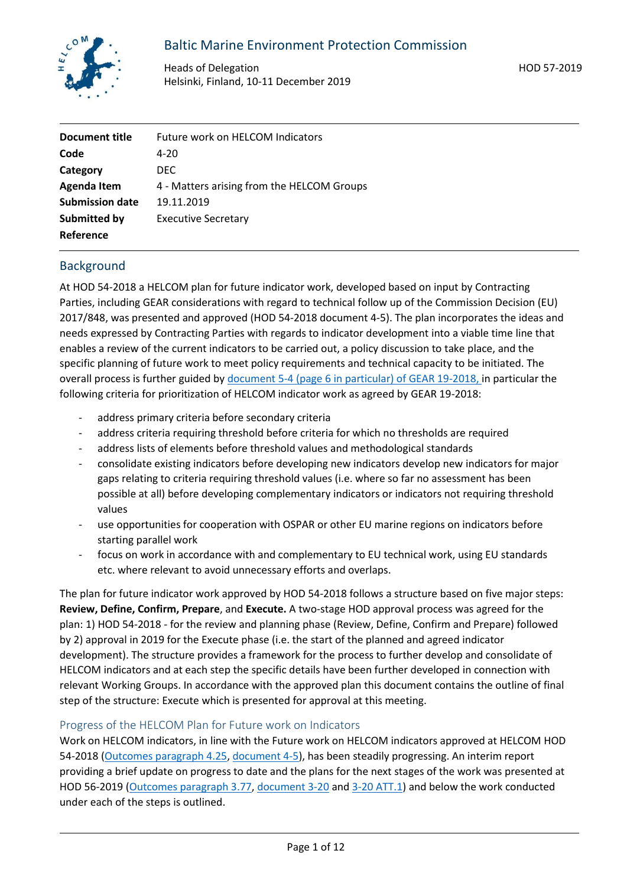

# Baltic Marine Environment Protection Commission

Heads of Delegation Helsinki, Finland, 10-11 December 2019 HOD 57-2019

| Document title         | Future work on HELCOM Indicators           |  |  |
|------------------------|--------------------------------------------|--|--|
| Code                   | 4-20                                       |  |  |
| Category               | DEC.                                       |  |  |
| <b>Agenda Item</b>     | 4 - Matters arising from the HELCOM Groups |  |  |
| <b>Submission date</b> | 19.11.2019                                 |  |  |
| Submitted by           | <b>Executive Secretary</b>                 |  |  |
| Reference              |                                            |  |  |

# Background

At HOD 54-2018 a HELCOM plan for future indicator work, developed based on input by Contracting Parties, including GEAR considerations with regard to technical follow up of the Commission Decision (EU) 2017/848, was presented and approved (HOD 54-2018 document 4-5). The plan incorporates the ideas and needs expressed by Contracting Parties with regards to indicator development into a viable time line that enables a review of the current indicators to be carried out, a policy discussion to take place, and the specific planning of future work to meet policy requirements and technical capacity to be initiated. The overall process is further guided by [document 5-4 \(page 6 in particular\) of GEAR 19-2018,](https://portal.helcom.fi/meetings/GEAR%2019-2018-569/MeetingDocuments/5-4%20GEAR%20planning%20document%20on%20future%20work%20related%20to%20coordinated%20implementation%20of%20the%20MSFD.pdf) in particular the following criteria for prioritization of HELCOM indicator work as agreed by GEAR 19-2018:

- address primary criteria before secondary criteria
- address criteria requiring threshold before criteria for which no thresholds are required
- address lists of elements before threshold values and methodological standards
- consolidate existing indicators before developing new indicators develop new indicators for major gaps relating to criteria requiring threshold values (i.e. where so far no assessment has been possible at all) before developing complementary indicators or indicators not requiring threshold values
- use opportunities for cooperation with OSPAR or other EU marine regions on indicators before starting parallel work
- focus on work in accordance with and complementary to EU technical work, using EU standards etc. where relevant to avoid unnecessary efforts and overlaps.

The plan for future indicator work approved by HOD 54-2018 follows a structure based on five major steps: **Review, Define, Confirm, Prepare**, and **Execute.** A two-stage HOD approval process was agreed for the plan: 1) HOD 54-2018 - for the review and planning phase (Review, Define, Confirm and Prepare) followed by 2) approval in 2019 for the Execute phase (i.e. the start of the planned and agreed indicator development). The structure provides a framework for the process to further develop and consolidate of HELCOM indicators and at each step the specific details have been further developed in connection with relevant Working Groups. In accordance with the approved plan this document contains the outline of final step of the structure: Execute which is presented for approval at this meeting.

### Progress of the HELCOM Plan for Future work on Indicators

Work on HELCOM indicators, in line with the Future work on HELCOM indicators approved at HELCOM HOD 54-2018 [\(Outcomes paragraph 4.25,](https://portal.helcom.fi/meetings/HOD%2054-2018-535/MeetingDocuments/Outcome_HOD%2054-2018.pdf) [document 4-5\)](https://portal.helcom.fi/meetings/HOD%2054-2018-535/MeetingDocuments/4-5%20Draft%20HELCOM%20work%20plan%20for%20indicators.pdf), has been steadily progressing. An interim report providing a brief update on progress to date and the plans for the next stages of the work was presented at HOD 56-2019 [\(Outcomes paragraph 3.77,](https://portal.helcom.fi/meetings/HOD%2056-2019-597/MeetingDocuments/Outcome%20of%20HOD%2056-2019.pdf) [document 3-20](https://portal.helcom.fi/meetings/HOD%2056-2019-597/MeetingDocuments/3-20%20Future%20work%20on%20HELCOM%20indicators%20%E2%80%93%20progress%20and%20planned%20work.pdf) an[d 3-20 ATT.1\)](https://portal.helcom.fi/meetings/HOD%2056-2019-597/MeetingDocuments/3-20-ATT.1%20HELCOM%20Indicator%20match%20and%20scoring%20tables.xlsx?Web=1) and below the work conducted under each of the steps is outlined.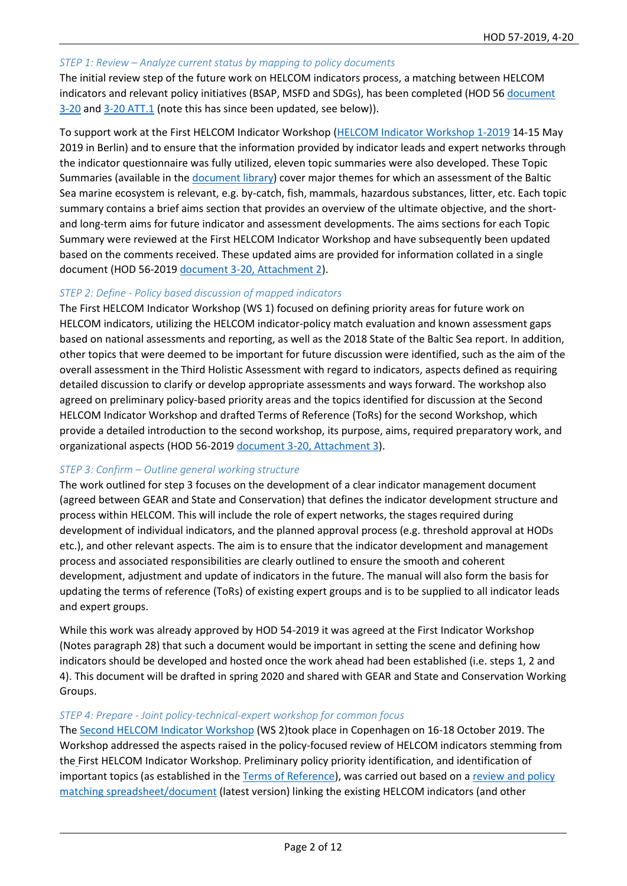#### *STEP 1: Review – Analyze current status by mapping to policy documents*

The initial review step of the future work on HELCOM indicators process, a matching between HELCOM indicators and relevant policy initiatives (BSAP, MSFD and SDGs), has been completed (HOD 5[6 document](https://portal.helcom.fi/meetings/HOD%2056-2019-597/MeetingDocuments/3-20%20Future%20work%20on%20HELCOM%20indicators%20%E2%80%93%20progress%20and%20planned%20work.pdf)  [3-20](https://portal.helcom.fi/meetings/HOD%2056-2019-597/MeetingDocuments/3-20%20Future%20work%20on%20HELCOM%20indicators%20%E2%80%93%20progress%20and%20planned%20work.pdf) an[d 3-20 ATT.1](https://portal.helcom.fi/meetings/HOD%2056-2019-597/MeetingDocuments/3-20-ATT.1%20HELCOM%20Indicator%20match%20and%20scoring%20tables.xlsx?Web=1) (note this has since been updated, see below)).

To support work at the First HELCOM Indicator Workshop [\(HELCOM Indicator Workshop 1-2019](https://portal.helcom.fi/meetings/INDICATOR%20WS%201-2019-616/default.aspx) 14-15 May 2019 in Berlin) and to ensure that the information provided by indicator leads and expert networks through the indicator questionnaire was fully utilized, eleven topic summaries were also developed. These Topic Summaries (available in th[e document library\)](https://portal.helcom.fi/meetings/INDICATOR%20WS%201-2019-616/MeetingDocuments/Forms/AllItems.aspx) cover major themes for which an assessment of the Baltic Sea marine ecosystem is relevant, e.g. by-catch, fish, mammals, hazardous substances, litter, etc. Each topic summary contains a brief aims section that provides an overview of the ultimate objective, and the shortand long-term aims for future indicator and assessment developments. The aims sections for each Topic Summary were reviewed at the First HELCOM Indicator Workshop and have subsequently been updated based on the comments received. These updated aims are provided for information collated in a single document (HOD 56-2019 [document 3-20, Attachment 2\)](https://portal.helcom.fi/meetings/HOD%2056-2019-597/MeetingDocuments/3-20%20Future%20work%20on%20HELCOM%20indicators%20%E2%80%93%20progress%20and%20planned%20work.pdf).

### *STEP 2: Define - Policy based discussion of mapped indicators*

The First HELCOM Indicator Workshop (WS 1) focused on defining priority areas for future work on HELCOM indicators, utilizing the HELCOM indicator-policy match evaluation and known assessment gaps based on national assessments and reporting, as well as the 2018 State of the Baltic Sea report. In addition, other topics that were deemed to be important for future discussion were identified, such as the aim of the overall assessment in the Third Holistic Assessment with regard to indicators, aspects defined as requiring detailed discussion to clarify or develop appropriate assessments and ways forward. The workshop also agreed on preliminary policy-based priority areas and the topics identified for discussion at the Second HELCOM Indicator Workshop and drafted Terms of Reference (ToRs) for the second Workshop, which provide a detailed introduction to the second workshop, its purpose, aims, required preparatory work, and organizational aspects (HOD 56-201[9 document 3-20, Attachment 3\)](https://portal.helcom.fi/meetings/HOD%2056-2019-597/MeetingDocuments/3-20%20Future%20work%20on%20HELCOM%20indicators%20%E2%80%93%20progress%20and%20planned%20work.pdf).

### *STEP 3: Confirm – Outline general working structure*

The work outlined for step 3 focuses on the development of a clear indicator management document (agreed between GEAR and State and Conservation) that defines the indicator development structure and process within HELCOM. This will include the role of expert networks, the stages required during development of individual indicators, and the planned approval process (e.g. threshold approval at HODs etc.), and other relevant aspects. The aim is to ensure that the indicator development and management process and associated responsibilities are clearly outlined to ensure the smooth and coherent development, adjustment and update of indicators in the future. The manual will also form the basis for updating the terms of reference (ToRs) of existing expert groups and is to be supplied to all indicator leads and expert groups.

While this work was already approved by HOD 54-2019 it was agreed at the First Indicator Workshop (Notes paragraph 28) that such a document would be important in setting the scene and defining how indicators should be developed and hosted once the work ahead had been established (i.e. steps 1, 2 and 4). This document will be drafted in spring 2020 and shared with GEAR and State and Conservation Working Groups.

#### *STEP 4: Prepare - Joint policy-technical-expert workshop for common focus*

The [Second HELCOM Indicator Workshop](https://portal.helcom.fi/meetings/INDICATOR%20WS%202-2019-676/default.aspx) (WS 2)took place in Copenhagen on 16-18 October 2019. The Workshop addressed the aspects raised in the policy-focused review of HELCOM indicators stemming from the First HELCOM Indicator Workshop. Preliminary policy priority identification, and identification of important topics (as established in th[e Terms of Reference\)](https://portal.helcom.fi/meetings/INDICATOR%20WS%202-2019-676/MeetingDocuments/Terms%20of%20Reference%20for%20Second%20HELCOM%20indicator%20workshop.pdf), was carried out based on a review and policy [matching spreadsheet/document](https://portal.helcom.fi/meetings/INDICATOR%20WS%202-2019-676/MeetingDocuments/Document%2017%20ATT.1%20rev.1%20HELCOM%20Indicator%20match%20and%20scoring%20tables_300919.xlsx?Web=1) (latest version) linking the existing HELCOM indicators (and other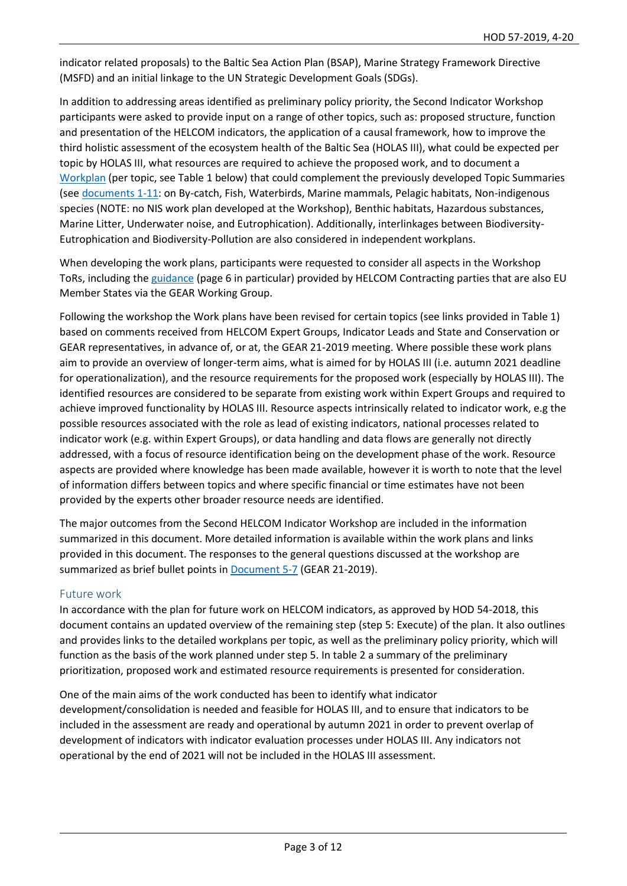indicator related proposals) to the Baltic Sea Action Plan (BSAP), Marine Strategy Framework Directive (MSFD) and an initial linkage to the UN Strategic Development Goals (SDGs).

In addition to addressing areas identified as preliminary policy priority, the Second Indicator Workshop participants were asked to provide input on a range of other topics, such as: proposed structure, function and presentation of the HELCOM indicators, the application of a causal framework, how to improve the third holistic assessment of the ecosystem health of the Baltic Sea (HOLAS III), what could be expected per topic by HOLAS III, what resources are required to achieve the proposed work, and to document a [Workplan](https://portal.helcom.fi/meetings/INDICATOR%20WS%202-2019-676/MeetingDocuments/What%20is%20needed%20per%20topic%20area%20by%20the%20end%20of%20the%20Workshop.docx) (per topic, see Table 1 below) that could complement the previously developed Topic Summaries (see [documents 1-11:](https://portal.helcom.fi/meetings/INDICATOR%20WS%202-2019-676/default.aspx) on By-catch, Fish, Waterbirds, Marine mammals, Pelagic habitats, Non-indigenous species (NOTE: no NIS work plan developed at the Workshop), Benthic habitats, Hazardous substances, Marine Litter, Underwater noise, and Eutrophication). Additionally, interlinkages between Biodiversity-Eutrophication and Biodiversity-Pollution are also considered in independent workplans.

When developing the work plans, participants were requested to consider all aspects in the Workshop ToRs, including the [guidance](https://portal.helcom.fi/meetings/GEAR%2019-2018-569/MeetingDocuments/5-4%20GEAR%20planning%20document%20on%20future%20work%20related%20to%20coordinated%20implementation%20of%20the%20MSFD.pdf) (page 6 in particular) provided by HELCOM Contracting parties that are also EU Member States via the GEAR Working Group.

Following the workshop the Work plans have been revised for certain topics (see links provided in Table 1) based on comments received from HELCOM Expert Groups, Indicator Leads and State and Conservation or GEAR representatives, in advance of, or at, the GEAR 21-2019 meeting. Where possible these work plans aim to provide an overview of longer-term aims, what is aimed for by HOLAS III (i.e. autumn 2021 deadline for operationalization), and the resource requirements for the proposed work (especially by HOLAS III). The identified resources are considered to be separate from existing work within Expert Groups and required to achieve improved functionality by HOLAS III. Resource aspects intrinsically related to indicator work, e.g the possible resources associated with the role as lead of existing indicators, national processes related to indicator work (e.g. within Expert Groups), or data handling and data flows are generally not directly addressed, with a focus of resource identification being on the development phase of the work. Resource aspects are provided where knowledge has been made available, however it is worth to note that the level of information differs between topics and where specific financial or time estimates have not been provided by the experts other broader resource needs are identified.

The major outcomes from the Second HELCOM Indicator Workshop are included in the information summarized in this document. More detailed information is available within the work plans and links provided in this document. The responses to the general questions discussed at the workshop are summarized as brief bullet points in [Document 5-7](https://portal.helcom.fi/meetings/GEAR%2021-2019-664/MeetingDocuments/5-7%20Future%20work%20on%20HELCOM%20Indicators_Workplans%20per%20topic%20and%20Workshop%20output.pdf) (GEAR 21-2019).

### Future work

In accordance with the plan for future work on HELCOM indicators, as approved by HOD 54-2018, this document contains an updated overview of the remaining step (step 5: Execute) of the plan. It also outlines and provides links to the detailed workplans per topic, as well as the preliminary policy priority, which will function as the basis of the work planned under step 5. In table 2 a summary of the preliminary prioritization, proposed work and estimated resource requirements is presented for consideration.

One of the main aims of the work conducted has been to identify what indicator development/consolidation is needed and feasible for HOLAS III, and to ensure that indicators to be included in the assessment are ready and operational by autumn 2021 in order to prevent overlap of development of indicators with indicator evaluation processes under HOLAS III. Any indicators not operational by the end of 2021 will not be included in the HOLAS III assessment.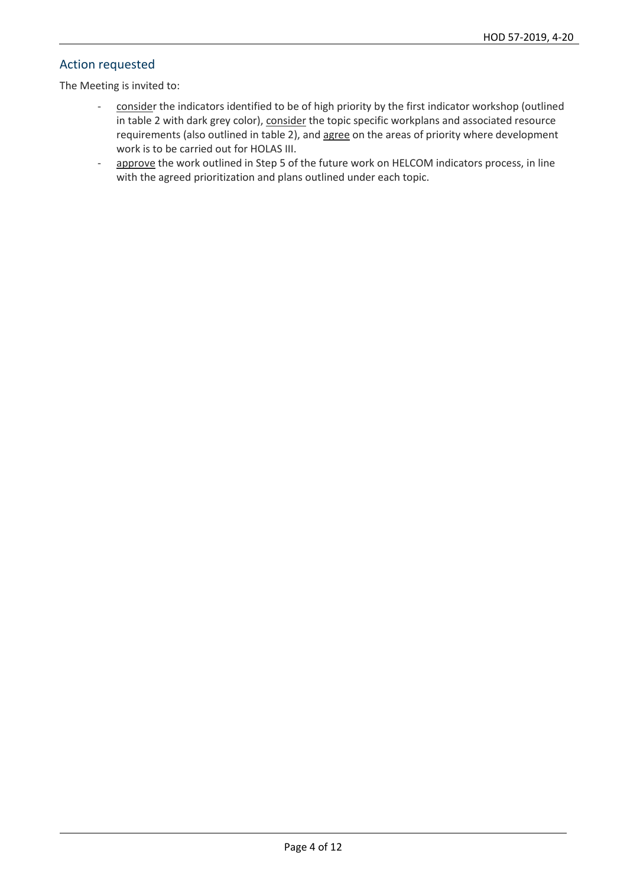## Action requested

The Meeting is invited to:

- consider the indicators identified to be of high priority by the first indicator workshop (outlined in table 2 with dark grey color), consider the topic specific workplans and associated resource requirements (also outlined in table 2), and agree on the areas of priority where development work is to be carried out for HOLAS III.
- approve the work outlined in Step 5 of the future work on HELCOM indicators process, in line with the agreed prioritization and plans outlined under each topic.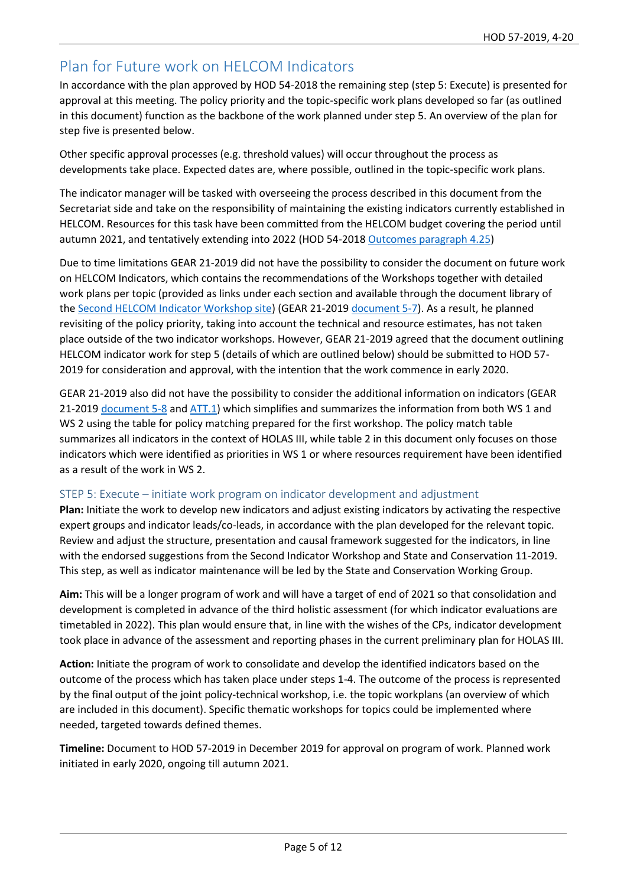# Plan for Future work on HELCOM Indicators

In accordance with the plan approved by HOD 54-2018 the remaining step (step 5: Execute) is presented for approval at this meeting. The policy priority and the topic-specific work plans developed so far (as outlined in this document) function as the backbone of the work planned under step 5. An overview of the plan for step five is presented below.

Other specific approval processes (e.g. threshold values) will occur throughout the process as developments take place. Expected dates are, where possible, outlined in the topic-specific work plans.

The indicator manager will be tasked with overseeing the process described in this document from the Secretariat side and take on the responsibility of maintaining the existing indicators currently established in HELCOM. Resources for this task have been committed from the HELCOM budget covering the period until autumn 2021, and tentatively extending into 2022 (HOD 54-201[8 Outcomes paragraph 4.25\)](https://portal.helcom.fi/meetings/HOD%2054-2018-535/MeetingDocuments/Outcome_HOD%2054-2018.pdf)

Due to time limitations GEAR 21-2019 did not have the possibility to consider the document on future work on HELCOM Indicators, which contains the recommendations of the Workshops together with detailed work plans per topic (provided as links under each section and available through the document library of the [Second HELCOM Indicator Workshop site\)](https://portal.helcom.fi/meetings/INDICATOR%20WS%202-2019-676/default.aspx) (GEAR 21-2019 [document 5-7\)](https://portal.helcom.fi/meetings/GEAR%2021-2019-664/MeetingDocuments/5-7%20Future%20work%20on%20HELCOM%20Indicators_Workplans%20per%20topic%20and%20Workshop%20output.pdf). As a result, he planned revisiting of the policy priority, taking into account the technical and resource estimates, has not taken place outside of the two indicator workshops. However, GEAR 21-2019 agreed that the document outlining HELCOM indicator work for step 5 (details of which are outlined below) should be submitted to HOD 57- 2019 for consideration and approval, with the intention that the work commence in early 2020.

GEAR 21-2019 also did not have the possibility to consider the additional information on indicators (GEAR 21-2019 [document 5-8](https://portal.helcom.fi/meetings/GEAR%2021-2019-664/MeetingDocuments/5-8%20Additional%20information%20on%20indicators.pdf) an[d ATT.1\)](https://portal.helcom.fi/meetings/GEAR%2021-2019-664/MeetingDocuments/5-8%20Att%201%20Additional%20information%20on%20indicators.xlsx?Web=1) which simplifies and summarizes the information from both WS 1 and WS 2 using the table for policy matching prepared for the first workshop. The policy match table summarizes all indicators in the context of HOLAS III, while table 2 in this document only focuses on those indicators which were identified as priorities in WS 1 or where resources requirement have been identified as a result of the work in WS 2.

### STEP 5: Execute – initiate work program on indicator development and adjustment

**Plan:** Initiate the work to develop new indicators and adjust existing indicators by activating the respective expert groups and indicator leads/co-leads, in accordance with the plan developed for the relevant topic. Review and adjust the structure, presentation and causal framework suggested for the indicators, in line with the endorsed suggestions from the Second Indicator Workshop and State and Conservation 11-2019. This step, as well as indicator maintenance will be led by the State and Conservation Working Group.

**Aim:** This will be a longer program of work and will have a target of end of 2021 so that consolidation and development is completed in advance of the third holistic assessment (for which indicator evaluations are timetabled in 2022). This plan would ensure that, in line with the wishes of the CPs, indicator development took place in advance of the assessment and reporting phases in the current preliminary plan for HOLAS III.

**Action:** Initiate the program of work to consolidate and develop the identified indicators based on the outcome of the process which has taken place under steps 1-4. The outcome of the process is represented by the final output of the joint policy-technical workshop, i.e. the topic workplans (an overview of which are included in this document). Specific thematic workshops for topics could be implemented where needed, targeted towards defined themes.

**Timeline:** Document to HOD 57-2019 in December 2019 for approval on program of work. Planned work initiated in early 2020, ongoing till autumn 2021.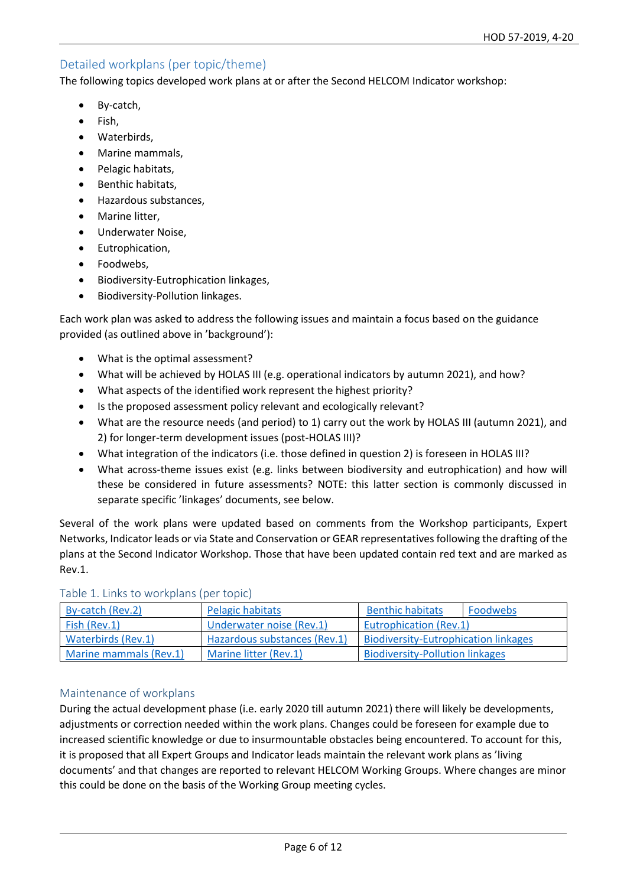## Detailed workplans (per topic/theme)

The following topics developed work plans at or after the Second HELCOM Indicator workshop:

- By-catch,
- Fish.
- Waterbirds,
- Marine mammals,
- Pelagic habitats,
- Benthic habitats,
- Hazardous substances,
- Marine litter,
- Underwater Noise,
- Eutrophication,
- Foodwebs,
- Biodiversity-Eutrophication linkages,
- Biodiversity-Pollution linkages.

Each work plan was asked to address the following issues and maintain a focus based on the guidance provided (as outlined above in 'background'):

- What is the optimal assessment?
- What will be achieved by HOLAS III (e.g. operational indicators by autumn 2021), and how?
- What aspects of the identified work represent the highest priority?
- Is the proposed assessment policy relevant and ecologically relevant?
- What are the resource needs (and period) to 1) carry out the work by HOLAS III (autumn 2021), and 2) for longer-term development issues (post-HOLAS III)?
- What integration of the indicators (i.e. those defined in question 2) is foreseen in HOLAS III?
- What across-theme issues exist (e.g. links between biodiversity and eutrophication) and how will these be considered in future assessments? NOTE: this latter section is commonly discussed in separate specific 'linkages' documents, see below.

Several of the work plans were updated based on comments from the Workshop participants, Expert Networks, Indicator leads or via State and Conservation or GEAR representatives following the drafting of the plans at the Second Indicator Workshop. Those that have been updated contain red text and are marked as Rev.1.

| By-catch (Rev.2)       | Pelagic habitats             | <b>Benthic habitats</b>                     | Foodwebs |  |
|------------------------|------------------------------|---------------------------------------------|----------|--|
| Fish (Rev.1)           | Underwater noise (Rev.1)     | <b>Eutrophication (Rev.1)</b>               |          |  |
| Waterbirds (Rev.1)     | Hazardous substances (Rev.1) | <b>Biodiversity-Eutrophication linkages</b> |          |  |
| Marine mammals (Rev.1) | Marine litter (Rev.1)        | <b>Biodiversity-Pollution linkages</b>      |          |  |

### Table 1. Links to workplans (per topic)

## Maintenance of workplans

During the actual development phase (i.e. early 2020 till autumn 2021) there will likely be developments, adjustments or correction needed within the work plans. Changes could be foreseen for example due to increased scientific knowledge or due to insurmountable obstacles being encountered. To account for this, it is proposed that all Expert Groups and Indicator leads maintain the relevant work plans as 'living documents' and that changes are reported to relevant HELCOM Working Groups. Where changes are minor this could be done on the basis of the Working Group meeting cycles.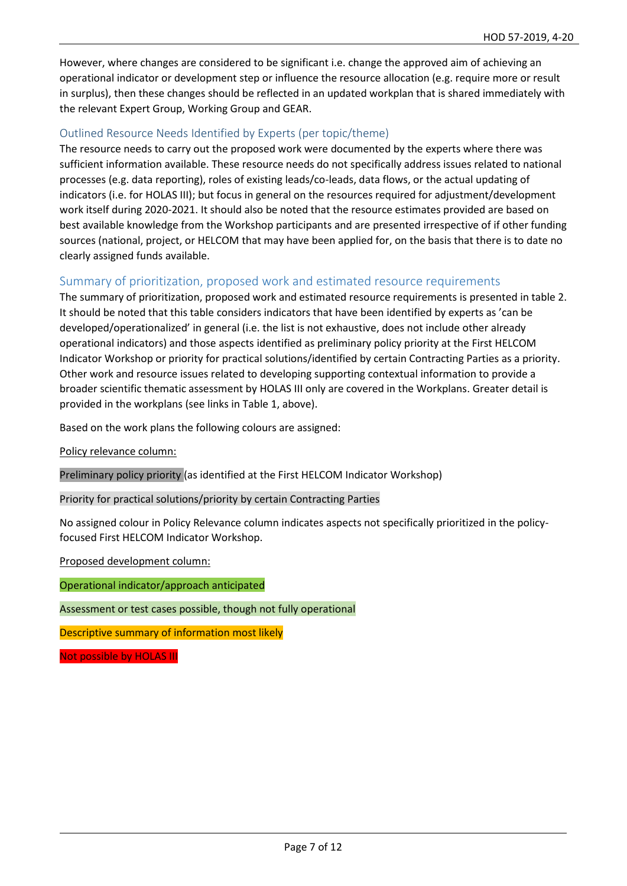However, where changes are considered to be significant i.e. change the approved aim of achieving an operational indicator or development step or influence the resource allocation (e.g. require more or result in surplus), then these changes should be reflected in an updated workplan that is shared immediately with the relevant Expert Group, Working Group and GEAR.

## Outlined Resource Needs Identified by Experts (per topic/theme)

The resource needs to carry out the proposed work were documented by the experts where there was sufficient information available. These resource needs do not specifically address issues related to national processes (e.g. data reporting), roles of existing leads/co-leads, data flows, or the actual updating of indicators (i.e. for HOLAS III); but focus in general on the resources required for adjustment/development work itself during 2020-2021. It should also be noted that the resource estimates provided are based on best available knowledge from the Workshop participants and are presented irrespective of if other funding sources (national, project, or HELCOM that may have been applied for, on the basis that there is to date no clearly assigned funds available.

## Summary of prioritization, proposed work and estimated resource requirements

The summary of prioritization, proposed work and estimated resource requirements is presented in table 2. It should be noted that this table considers indicators that have been identified by experts as 'can be developed/operationalized' in general (i.e. the list is not exhaustive, does not include other already operational indicators) and those aspects identified as preliminary policy priority at the First HELCOM Indicator Workshop or priority for practical solutions/identified by certain Contracting Parties as a priority. Other work and resource issues related to developing supporting contextual information to provide a broader scientific thematic assessment by HOLAS III only are covered in the Workplans. Greater detail is provided in the workplans (see links in Table 1, above).

Based on the work plans the following colours are assigned:

Policy relevance column:

Preliminary policy priority (as identified at the First HELCOM Indicator Workshop)

Priority for practical solutions/priority by certain Contracting Parties

No assigned colour in Policy Relevance column indicates aspects not specifically prioritized in the policyfocused First HELCOM Indicator Workshop.

Proposed development column:

Operational indicator/approach anticipated

Assessment or test cases possible, though not fully operational

Descriptive summary of information most likely

Not possible by HOLAS III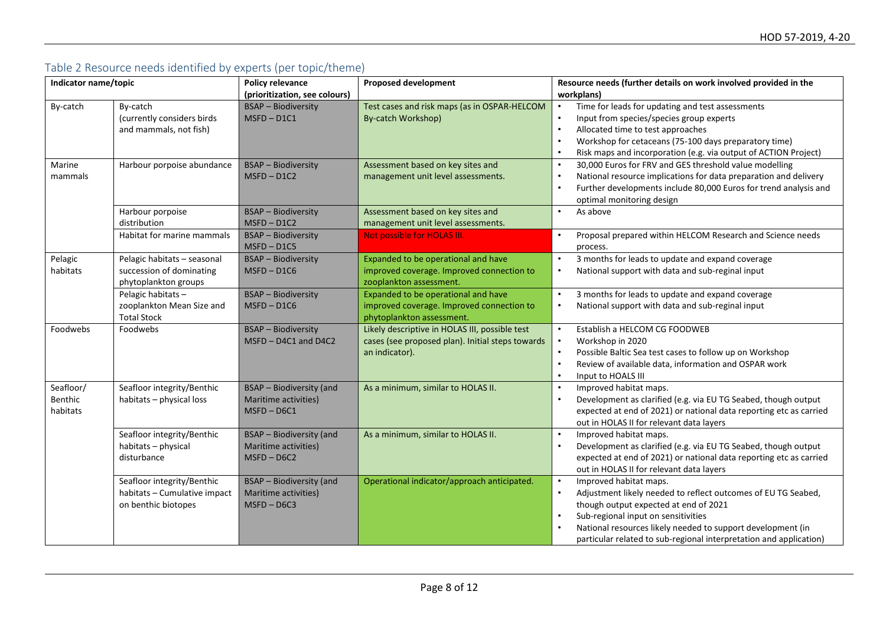# Table 2 Resource needs identified by experts (per topic/theme)

| Indicator name/topic             |                                                                                   | <b>Policy relevance</b><br>(prioritization, see colours)                 | <b>Proposed development</b>                                                                                          | Resource needs (further details on work involved provided in the<br>workplans)                                                                                                                                                                                                                                                                      |  |
|----------------------------------|-----------------------------------------------------------------------------------|--------------------------------------------------------------------------|----------------------------------------------------------------------------------------------------------------------|-----------------------------------------------------------------------------------------------------------------------------------------------------------------------------------------------------------------------------------------------------------------------------------------------------------------------------------------------------|--|
| By-catch                         | By-catch<br>(currently considers birds<br>and mammals, not fish)                  | <b>BSAP</b> - Biodiversity<br>$MSPD - D1C1$                              | Test cases and risk maps (as in OSPAR-HELCOM<br>By-catch Workshop)                                                   | Time for leads for updating and test assessments<br>$\bullet$<br>Input from species/species group experts<br>$\bullet$<br>Allocated time to test approaches<br>$\bullet$<br>Workshop for cetaceans (75-100 days preparatory time)<br>Risk maps and incorporation (e.g. via output of ACTION Project)                                                |  |
| Marine<br>mammals                | Harbour porpoise abundance                                                        | <b>BSAP</b> - Biodiversity<br>$MSPD - D1C2$                              | Assessment based on key sites and<br>management unit level assessments.                                              | 30,000 Euros for FRV and GES threshold value modelling<br>National resource implications for data preparation and delivery<br>$\bullet$<br>Further developments include 80,000 Euros for trend analysis and<br>$\bullet$<br>optimal monitoring design                                                                                               |  |
|                                  | Harbour porpoise<br>distribution                                                  | <b>BSAP</b> - Biodiversity<br>$MSPD - D1C2$                              | Assessment based on key sites and<br>management unit level assessments.                                              | As above<br>$\bullet$                                                                                                                                                                                                                                                                                                                               |  |
|                                  | Habitat for marine mammals                                                        | <b>BSAP</b> - Biodiversity<br>$MSPD - D1C5$                              | Not possible for HOLAS III.                                                                                          | $\bullet$<br>Proposal prepared within HELCOM Research and Science needs<br>process.                                                                                                                                                                                                                                                                 |  |
| Pelagic<br>habitats              | Pelagic habitats - seasonal<br>succession of dominating<br>phytoplankton groups   | <b>BSAP - Biodiversity</b><br>$MSPD - D1C6$                              | Expanded to be operational and have<br>improved coverage. Improved connection to<br>zooplankton assessment.          | 3 months for leads to update and expand coverage<br>$\bullet$<br>National support with data and sub-reginal input<br>$\bullet$                                                                                                                                                                                                                      |  |
|                                  | Pelagic habitats -<br>zooplankton Mean Size and<br><b>Total Stock</b>             | <b>BSAP - Biodiversity</b><br>$MSPD - D1C6$                              | Expanded to be operational and have<br>improved coverage. Improved connection to<br>phytoplankton assessment.        | 3 months for leads to update and expand coverage<br>$\bullet$<br>National support with data and sub-reginal input<br>$\bullet$                                                                                                                                                                                                                      |  |
| Foodwebs                         | Foodwebs                                                                          | <b>BSAP - Biodiversity</b><br>MSFD-D4C1 and D4C2                         | Likely descriptive in HOLAS III, possible test<br>cases (see proposed plan). Initial steps towards<br>an indicator). | $\bullet$<br>Establish a HELCOM CG FOODWEB<br>Workshop in 2020<br>$\bullet$<br>Possible Baltic Sea test cases to follow up on Workshop<br>$\bullet$<br>Review of available data, information and OSPAR work<br>Input to HOALS III<br>$\bullet$                                                                                                      |  |
| Seafloor/<br>Benthic<br>habitats | Seafloor integrity/Benthic<br>habitats - physical loss                            | <b>BSAP</b> - Biodiversity (and<br>Maritime activities)<br>$MSPD - D6C1$ | As a minimum, similar to HOLAS II.                                                                                   | Improved habitat maps.<br>$\bullet$<br>Development as clarified (e.g. via EU TG Seabed, though output<br>$\bullet$<br>expected at end of 2021) or national data reporting etc as carried<br>out in HOLAS II for relevant data layers                                                                                                                |  |
|                                  | Seafloor integrity/Benthic<br>habitats - physical<br>disturbance                  | BSAP - Biodiversity (and<br>Maritime activities)<br>$MSPD - D6C2$        | As a minimum, similar to HOLAS II.                                                                                   | Improved habitat maps.<br>$\bullet$<br>Development as clarified (e.g. via EU TG Seabed, though output<br>expected at end of 2021) or national data reporting etc as carried<br>out in HOLAS II for relevant data layers                                                                                                                             |  |
|                                  | Seafloor integrity/Benthic<br>habitats - Cumulative impact<br>on benthic biotopes | <b>BSAP</b> - Biodiversity (and<br>Maritime activities)<br>$MSPD - D6C3$ | Operational indicator/approach anticipated.                                                                          | Improved habitat maps.<br>$\bullet$<br>$\bullet$<br>Adjustment likely needed to reflect outcomes of EU TG Seabed,<br>though output expected at end of 2021<br>Sub-regional input on sensitivities<br>$\bullet$<br>National resources likely needed to support development (in<br>particular related to sub-regional interpretation and application) |  |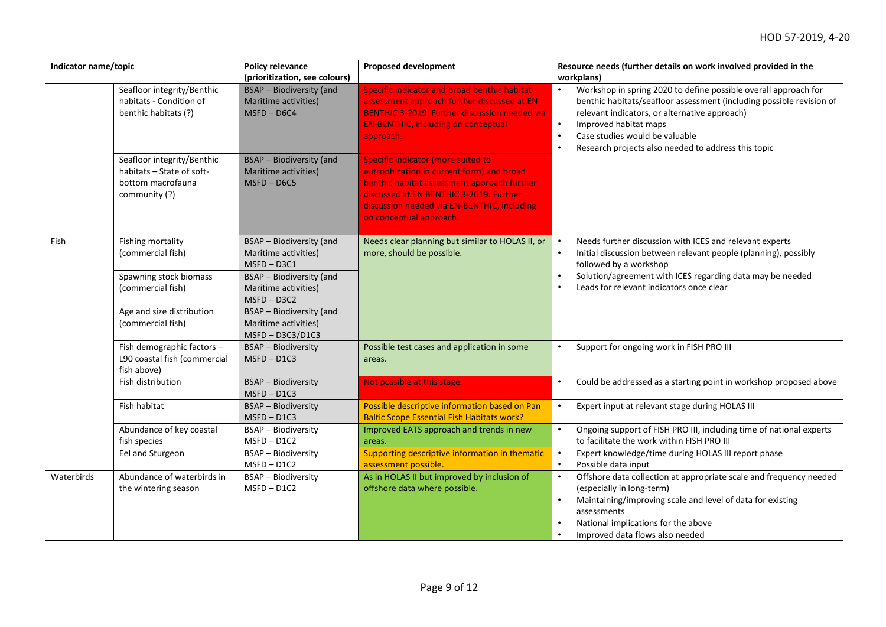| Indicator name/topic |                                                                                               | <b>Policy relevance</b><br>(prioritization, see colours)                  | <b>Proposed development</b>                                                                                                                                                                                                                                | Resource needs (further details on work involved provided in the<br>workplans)                                                                                                                                                                                                                                                                                 |  |
|----------------------|-----------------------------------------------------------------------------------------------|---------------------------------------------------------------------------|------------------------------------------------------------------------------------------------------------------------------------------------------------------------------------------------------------------------------------------------------------|----------------------------------------------------------------------------------------------------------------------------------------------------------------------------------------------------------------------------------------------------------------------------------------------------------------------------------------------------------------|--|
|                      | Seafloor integrity/Benthic<br>habitats - Condition of<br>benthic habitats (?)                 | <b>BSAP</b> - Biodiversity (and<br>Maritime activities)<br>$MSPD - D6C4$  | Specific indicator and broad benthic habitat<br>assessment approach further discussed at EN<br><b>BENTHIC 3-2019. Further discussion needed via</b><br><b>EN-BENTHIC, including on conceptual</b><br>approach.                                             | Workshop in spring 2020 to define possible overall approach for<br>$\bullet$<br>benthic habitats/seafloor assessment (including possible revision of<br>relevant indicators, or alternative approach)<br>$\bullet$<br>Improved habitat maps<br>Case studies would be valuable<br>$\bullet$<br>Research projects also needed to address this topic<br>$\bullet$ |  |
|                      | Seafloor integrity/Benthic<br>habitats - State of soft-<br>bottom macrofauna<br>community (?) | <b>BSAP</b> - Biodiversity (and<br>Maritime activities)<br>$MSPD - D6C5$  | <b>Specific indicator (more suited to</b><br>eutrophication in current form) and broad<br>benthic habitat assessment approach further<br>discussed at EN BENTHIC 3-2019. Further<br>discussion needed via EN-BENTHIC, including<br>on conceptual approach. |                                                                                                                                                                                                                                                                                                                                                                |  |
| Fish                 | Fishing mortality<br>(commercial fish)                                                        | <b>BSAP</b> - Biodiversity (and<br>Maritime activities)<br>$MSPD - D3C1$  | Needs clear planning but similar to HOLAS II, or<br>more, should be possible.                                                                                                                                                                              | Needs further discussion with ICES and relevant experts<br>$\bullet$<br>Initial discussion between relevant people (planning), possibly<br>$\bullet$<br>followed by a workshop                                                                                                                                                                                 |  |
|                      | Spawning stock biomass<br>(commercial fish)                                                   | <b>BSAP</b> - Biodiversity (and<br>Maritime activities)<br>$MSPD - D3C2$  |                                                                                                                                                                                                                                                            | Solution/agreement with ICES regarding data may be needed<br>Leads for relevant indicators once clear<br>$\bullet$                                                                                                                                                                                                                                             |  |
|                      | Age and size distribution<br>(commercial fish)                                                | <b>BSAP</b> - Biodiversity (and<br>Maritime activities)<br>MSFD-D3C3/D1C3 |                                                                                                                                                                                                                                                            |                                                                                                                                                                                                                                                                                                                                                                |  |
|                      | Fish demographic factors -<br>L90 coastal fish (commercial<br>fish above)                     | <b>BSAP - Biodiversity</b><br>$MSPD - D1C3$                               | Possible test cases and application in some<br>areas.                                                                                                                                                                                                      | Support for ongoing work in FISH PRO III<br>$\bullet$                                                                                                                                                                                                                                                                                                          |  |
|                      | Fish distribution                                                                             | <b>BSAP</b> - Biodiversity<br>$MSPD - D1C3$                               | Not possible at this stage.                                                                                                                                                                                                                                | Could be addressed as a starting point in workshop proposed above<br>$\bullet$                                                                                                                                                                                                                                                                                 |  |
|                      | Fish habitat                                                                                  | <b>BSAP - Biodiversity</b><br>$MSPD - D1C3$                               | Possible descriptive information based on Pan<br><b>Baltic Scope Essential Fish Habitats work?</b>                                                                                                                                                         | Expert input at relevant stage during HOLAS III<br>$\bullet$                                                                                                                                                                                                                                                                                                   |  |
|                      | Abundance of key coastal<br>fish species                                                      | <b>BSAP</b> - Biodiversity<br>$MSPD - D1C2$                               | Improved EATS approach and trends in new<br>areas.                                                                                                                                                                                                         | $\bullet$<br>Ongoing support of FISH PRO III, including time of national experts<br>to facilitate the work within FISH PRO III                                                                                                                                                                                                                                 |  |
|                      | Eel and Sturgeon                                                                              | <b>BSAP</b> - Biodiversity<br>$MSPD - D1C2$                               | Supporting descriptive information in thematic<br>assessment possible.                                                                                                                                                                                     | $\bullet$<br>Expert knowledge/time during HOLAS III report phase<br>$\bullet$<br>Possible data input                                                                                                                                                                                                                                                           |  |
| Waterbirds           | Abundance of waterbirds in<br>the wintering season                                            | <b>BSAP</b> - Biodiversity<br>$MSPD - D1C2$                               | As in HOLAS II but improved by inclusion of<br>offshore data where possible.                                                                                                                                                                               | Offshore data collection at appropriate scale and frequency needed<br>$\bullet$<br>(especially in long-term)<br>$\bullet$<br>Maintaining/improving scale and level of data for existing<br>assessments<br>National implications for the above<br>Improved data flows also needed                                                                               |  |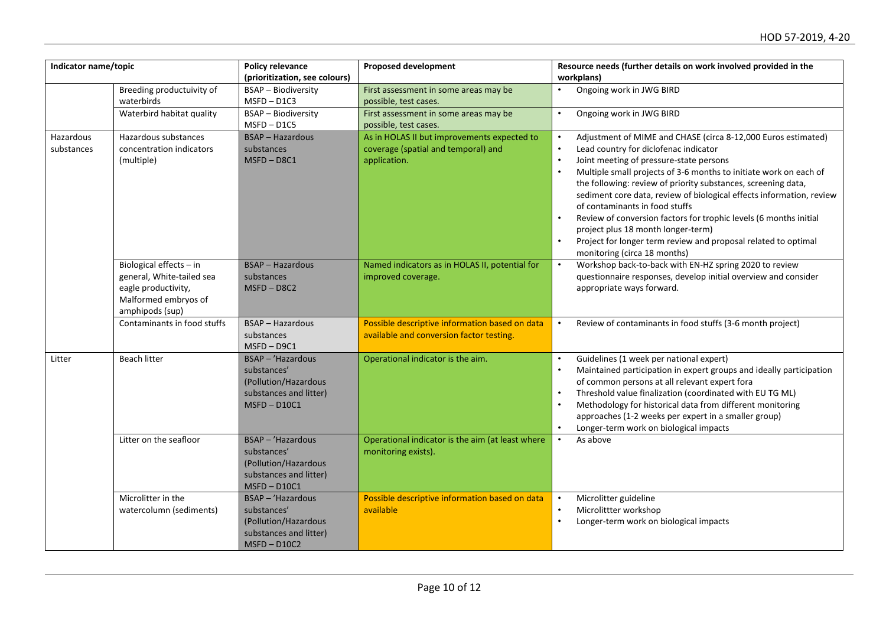| Indicator name/topic    |                                                                                                                        | Policy relevance<br>(prioritization, see colours)                                                    | <b>Proposed development</b>                                                                        | Resource needs (further details on work involved provided in the<br>workplans)                                                                                                                                                                                                                                                                                                                                                                                                                                                                                                                                                                        |
|-------------------------|------------------------------------------------------------------------------------------------------------------------|------------------------------------------------------------------------------------------------------|----------------------------------------------------------------------------------------------------|-------------------------------------------------------------------------------------------------------------------------------------------------------------------------------------------------------------------------------------------------------------------------------------------------------------------------------------------------------------------------------------------------------------------------------------------------------------------------------------------------------------------------------------------------------------------------------------------------------------------------------------------------------|
|                         | Breeding productuivity of<br>waterbirds                                                                                | <b>BSAP - Biodiversity</b><br>$MSPD - D1C3$                                                          | First assessment in some areas may be<br>possible, test cases.                                     | Ongoing work in JWG BIRD<br>$\bullet$                                                                                                                                                                                                                                                                                                                                                                                                                                                                                                                                                                                                                 |
|                         | Waterbird habitat quality                                                                                              | <b>BSAP</b> - Biodiversity<br>$MSPD - D1C5$                                                          | First assessment in some areas may be<br>possible, test cases.                                     | $\bullet$<br>Ongoing work in JWG BIRD                                                                                                                                                                                                                                                                                                                                                                                                                                                                                                                                                                                                                 |
| Hazardous<br>substances | Hazardous substances<br>concentration indicators<br>(multiple)                                                         | <b>BSAP - Hazardous</b><br>substances<br>$MSPD - D8C1$                                               | As in HOLAS II but improvements expected to<br>coverage (spatial and temporal) and<br>application. | Adjustment of MIME and CHASE (circa 8-12,000 Euros estimated)<br>$\bullet$<br>$\bullet$<br>Lead country for diclofenac indicator<br>$\bullet$<br>Joint meeting of pressure-state persons<br>Multiple small projects of 3-6 months to initiate work on each of<br>the following: review of priority substances, screening data,<br>sediment core data, review of biological effects information, review<br>of contaminants in food stuffs<br>Review of conversion factors for trophic levels (6 months initial<br>project plus 18 month longer-term)<br>Project for longer term review and proposal related to optimal<br>monitoring (circa 18 months) |
|                         | Biological effects - in<br>general, White-tailed sea<br>eagle productivity,<br>Malformed embryos of<br>amphipods (sup) | <b>BSAP</b> - Hazardous<br>substances<br>$MSPD - D8C2$                                               | Named indicators as in HOLAS II, potential for<br>improved coverage.                               | Workshop back-to-back with EN-HZ spring 2020 to review<br>$\bullet$<br>questionnaire responses, develop initial overview and consider<br>appropriate ways forward.                                                                                                                                                                                                                                                                                                                                                                                                                                                                                    |
|                         | Contaminants in food stuffs                                                                                            | <b>BSAP</b> - Hazardous<br>substances<br>$MSPD - D9C1$                                               | Possible descriptive information based on data<br>available and conversion factor testing.         | Review of contaminants in food stuffs (3-6 month project)<br>$\bullet$                                                                                                                                                                                                                                                                                                                                                                                                                                                                                                                                                                                |
| Litter                  | <b>Beach litter</b>                                                                                                    | BSAP - 'Hazardous<br>substances'<br>(Pollution/Hazardous<br>substances and litter)<br>$MSPD - D10C1$ | Operational indicator is the aim.                                                                  | Guidelines (1 week per national expert)<br>$\bullet$<br>Maintained participation in expert groups and ideally participation<br>$\bullet$<br>of common persons at all relevant expert fora<br>Threshold value finalization (coordinated with EU TG ML)<br>Methodology for historical data from different monitoring<br>approaches (1-2 weeks per expert in a smaller group)<br>Longer-term work on biological impacts<br>$\bullet$                                                                                                                                                                                                                     |
|                         | Litter on the seafloor                                                                                                 | BSAP - 'Hazardous<br>substances'<br>(Pollution/Hazardous<br>substances and litter)<br>$MSPD - D10C1$ | Operational indicator is the aim (at least where<br>monitoring exists).                            | As above<br>$\bullet$                                                                                                                                                                                                                                                                                                                                                                                                                                                                                                                                                                                                                                 |
|                         | Microlitter in the<br>watercolumn (sediments)                                                                          | BSAP - 'Hazardous<br>substances'<br>(Pollution/Hazardous<br>substances and litter)<br>$MSPD - D10C2$ | Possible descriptive information based on data<br>available                                        | Microlitter guideline<br>$\bullet$<br>$\bullet$<br>Microlittter workshop<br>Longer-term work on biological impacts                                                                                                                                                                                                                                                                                                                                                                                                                                                                                                                                    |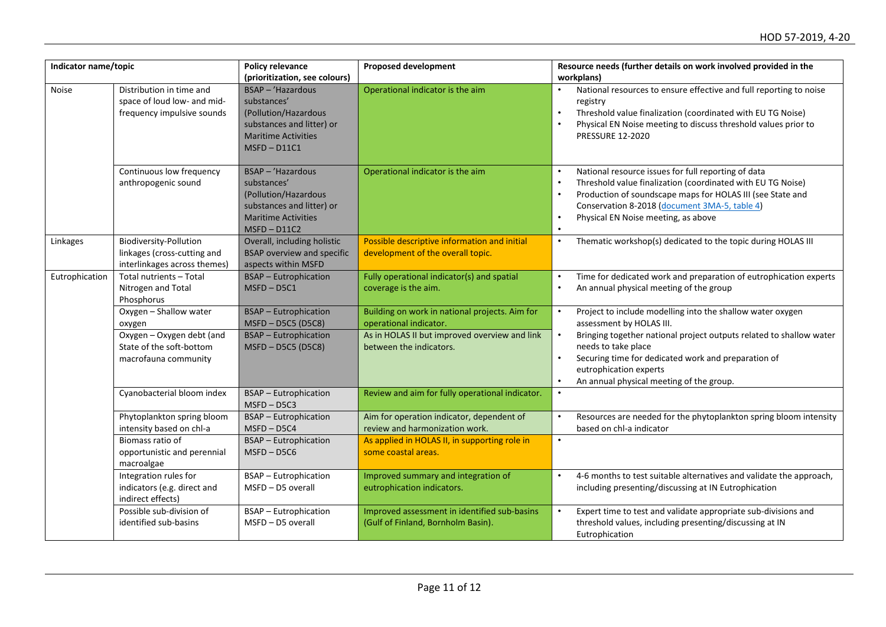| Indicator name/topic |                                                                                              | Policy relevance<br>(prioritization, see colours)                                                                                       | <b>Proposed development</b>                                                        | Resource needs (further details on work involved provided in the<br>workplans)                                                                                                                                                                                                                                  |
|----------------------|----------------------------------------------------------------------------------------------|-----------------------------------------------------------------------------------------------------------------------------------------|------------------------------------------------------------------------------------|-----------------------------------------------------------------------------------------------------------------------------------------------------------------------------------------------------------------------------------------------------------------------------------------------------------------|
| <b>Noise</b>         | Distribution in time and<br>space of loud low- and mid-<br>frequency impulsive sounds        | BSAP - 'Hazardous<br>substances'<br>(Pollution/Hazardous<br>substances and litter) or<br><b>Maritime Activities</b><br>$MSPD - D11C1$   | Operational indicator is the aim                                                   | National resources to ensure effective and full reporting to noise<br>registry<br>Threshold value finalization (coordinated with EU TG Noise)<br>$\bullet$<br>Physical EN Noise meeting to discuss threshold values prior to<br><b>PRESSURE 12-2020</b>                                                         |
|                      | Continuous low frequency<br>anthropogenic sound                                              | $BSAP - 'Hazardous$<br>substances'<br>(Pollution/Hazardous<br>substances and litter) or<br><b>Maritime Activities</b><br>$MSPD - D11C2$ | Operational indicator is the aim                                                   | National resource issues for full reporting of data<br>$\bullet$<br>Threshold value finalization (coordinated with EU TG Noise)<br>Production of soundscape maps for HOLAS III (see State and<br>Conservation 8-2018 (document 3MA-5, table 4)<br>Physical EN Noise meeting, as above<br>$\bullet$<br>$\bullet$ |
| Linkages             | <b>Biodiversity-Pollution</b><br>linkages (cross-cutting and<br>interlinkages across themes) | Overall, including holistic<br><b>BSAP overview and specific</b><br>aspects within MSFD                                                 | Possible descriptive information and initial<br>development of the overall topic.  | Thematic workshop(s) dedicated to the topic during HOLAS III<br>$\bullet$                                                                                                                                                                                                                                       |
| Eutrophication       | Total nutrients - Total<br>Nitrogen and Total<br>Phosphorus                                  | <b>BSAP</b> - Eutrophication<br>$MSPD - D5C1$                                                                                           | Fully operational indicator(s) and spatial<br>coverage is the aim.                 | Time for dedicated work and preparation of eutrophication experts<br>$\bullet$<br>$\bullet$<br>An annual physical meeting of the group                                                                                                                                                                          |
|                      | Oxygen - Shallow water<br>oxygen                                                             | <b>BSAP</b> - Eutrophication<br>MSFD-D5C5 (D5C8)                                                                                        | Building on work in national projects. Aim for<br>operational indicator.           | Project to include modelling into the shallow water oxygen<br>$\bullet$<br>assessment by HOLAS III.                                                                                                                                                                                                             |
|                      | Oxygen - Oxygen debt (and<br>State of the soft-bottom<br>macrofauna community                | <b>BSAP</b> - Eutrophication<br>MSFD-D5C5 (D5C8)                                                                                        | As in HOLAS II but improved overview and link<br>between the indicators.           | $\bullet$<br>Bringing together national project outputs related to shallow water<br>needs to take place<br>Securing time for dedicated work and preparation of<br>eutrophication experts<br>An annual physical meeting of the group.                                                                            |
|                      | Cyanobacterial bloom index                                                                   | <b>BSAP</b> - Eutrophication<br>$MSPD - D5C3$                                                                                           | Review and aim for fully operational indicator.                                    | $\bullet$                                                                                                                                                                                                                                                                                                       |
|                      | Phytoplankton spring bloom<br>intensity based on chl-a                                       | <b>BSAP</b> - Eutrophication<br>$MSPD - D5C4$                                                                                           | Aim for operation indicator, dependent of<br>review and harmonization work.        | Resources are needed for the phytoplankton spring bloom intensity<br>$\bullet$<br>based on chl-a indicator                                                                                                                                                                                                      |
|                      | Biomass ratio of<br>opportunistic and perennial<br>macroalgae                                | <b>BSAP</b> - Eutrophication<br>$MSPD - D5C6$                                                                                           | As applied in HOLAS II, in supporting role in<br>some coastal areas.               | $\bullet$                                                                                                                                                                                                                                                                                                       |
|                      | Integration rules for<br>indicators (e.g. direct and<br>indirect effects)                    | <b>BSAP</b> - Eutrophication<br>MSFD - D5 overall                                                                                       | Improved summary and integration of<br>eutrophication indicators.                  | 4-6 months to test suitable alternatives and validate the approach,<br>$\bullet$<br>including presenting/discussing at IN Eutrophication                                                                                                                                                                        |
|                      | Possible sub-division of<br>identified sub-basins                                            | <b>BSAP</b> - Eutrophication<br>MSFD - D5 overall                                                                                       | Improved assessment in identified sub-basins<br>(Gulf of Finland, Bornholm Basin). | Expert time to test and validate appropriate sub-divisions and<br>$\bullet$<br>threshold values, including presenting/discussing at IN<br>Eutrophication                                                                                                                                                        |